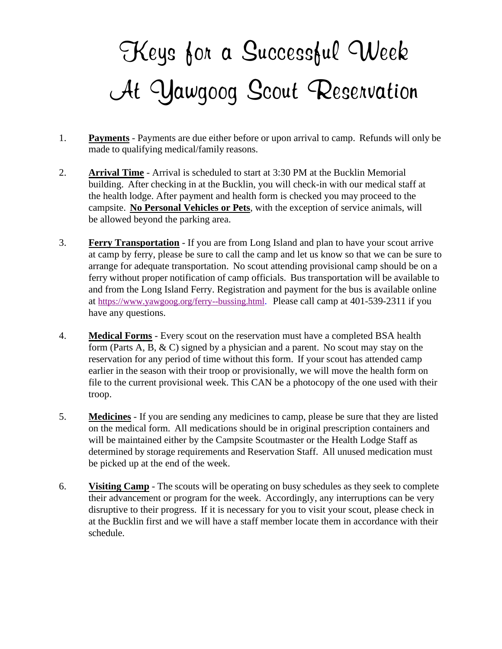## *Keys for a Successful Week At Yawgoog Scout Reservation*

- 1. **Payments** Payments are due either before or upon arrival to camp. Refunds will only be made to qualifying medical/family reasons.
- 2. **Arrival Time** Arrival is scheduled to start at 3:30 PM at the Bucklin Memorial building. After checking in at the Bucklin, you will check-in with our medical staff at the health lodge. After payment and health form is checked you may proceed to the campsite. **No Personal Vehicles or Pets**, with the exception of service animals, will be allowed beyond the parking area.
- 3. **Ferry Transportation** If you are from Long Island and plan to have your scout arrive at camp by ferry, please be sure to call the camp and let us know so that we can be sure to arrange for adequate transportation. No scout attending provisional camp should be on a ferry without proper notification of camp officials. Bus transportation will be available to and from the Long Island Ferry. Registration and payment for the bus is available online at <https://www.yawgoog.org/ferry--bussing.html>. Please call camp at 401-539-2311 if you have any questions.
- 4. **Medical Forms** Every scout on the reservation must have a completed BSA health form (Parts A, B, & C) signed by a physician and a parent. No scout may stay on the reservation for any period of time without this form. If your scout has attended camp earlier in the season with their troop or provisionally, we will move the health form on file to the current provisional week. This CAN be a photocopy of the one used with their troop.
- 5. **Medicines** If you are sending any medicines to camp, please be sure that they are listed on the medical form. All medications should be in original prescription containers and will be maintained either by the Campsite Scoutmaster or the Health Lodge Staff as determined by storage requirements and Reservation Staff. All unused medication must be picked up at the end of the week.
- 6. **Visiting Camp** The scouts will be operating on busy schedules as they seek to complete their advancement or program for the week. Accordingly, any interruptions can be very disruptive to their progress. If it is necessary for you to visit your scout, please check in at the Bucklin first and we will have a staff member locate them in accordance with their schedule.